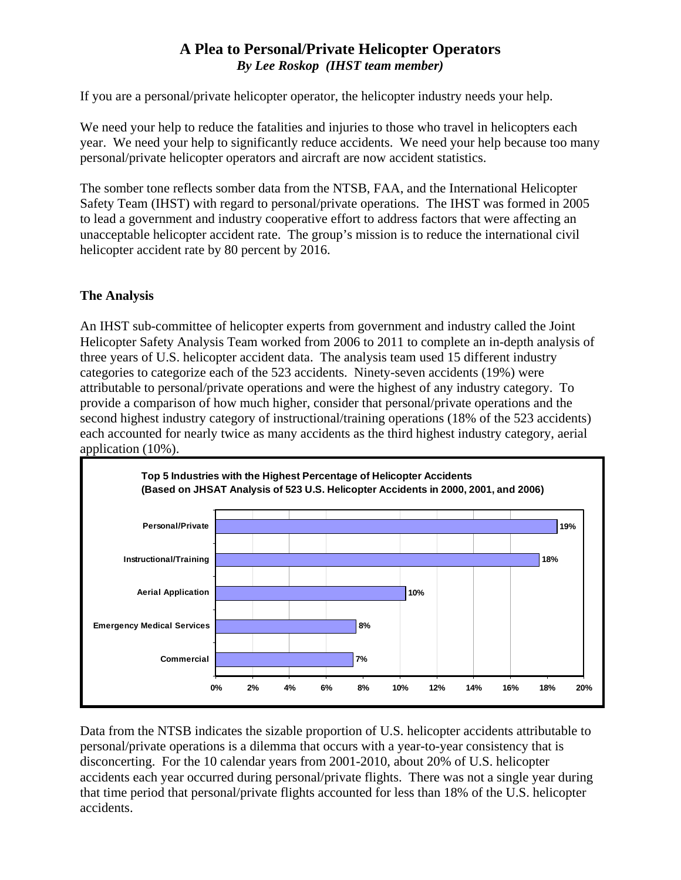# **A Plea to Personal/Private Helicopter Operators**  *By Lee Roskop (IHST team member)*

If you are a personal/private helicopter operator, the helicopter industry needs your help.

We need your help to reduce the fatalities and injuries to those who travel in helicopters each year. We need your help to significantly reduce accidents. We need your help because too many personal/private helicopter operators and aircraft are now accident statistics.

The somber tone reflects somber data from the NTSB, FAA, and the International Helicopter Safety Team (IHST) with regard to personal/private operations. The IHST was formed in 2005 to lead a government and industry cooperative effort to address factors that were affecting an unacceptable helicopter accident rate. The group's mission is to reduce the international civil helicopter accident rate by 80 percent by 2016.

## **The Analysis**

An IHST sub-committee of helicopter experts from government and industry called the Joint Helicopter Safety Analysis Team worked from 2006 to 2011 to complete an in-depth analysis of three years of U.S. helicopter accident data. The analysis team used 15 different industry categories to categorize each of the 523 accidents. Ninety-seven accidents (19%) were attributable to personal/private operations and were the highest of any industry category. To provide a comparison of how much higher, consider that personal/private operations and the second highest industry category of instructional/training operations (18% of the 523 accidents) each accounted for nearly twice as many accidents as the third highest industry category, aerial application (10%).



Data from the NTSB indicates the sizable proportion of U.S. helicopter accidents attributable to personal/private operations is a dilemma that occurs with a year-to-year consistency that is disconcerting. For the 10 calendar years from 2001-2010, about 20% of U.S. helicopter accidents each year occurred during personal/private flights. There was not a single year during that time period that personal/private flights accounted for less than 18% of the U.S. helicopter accidents.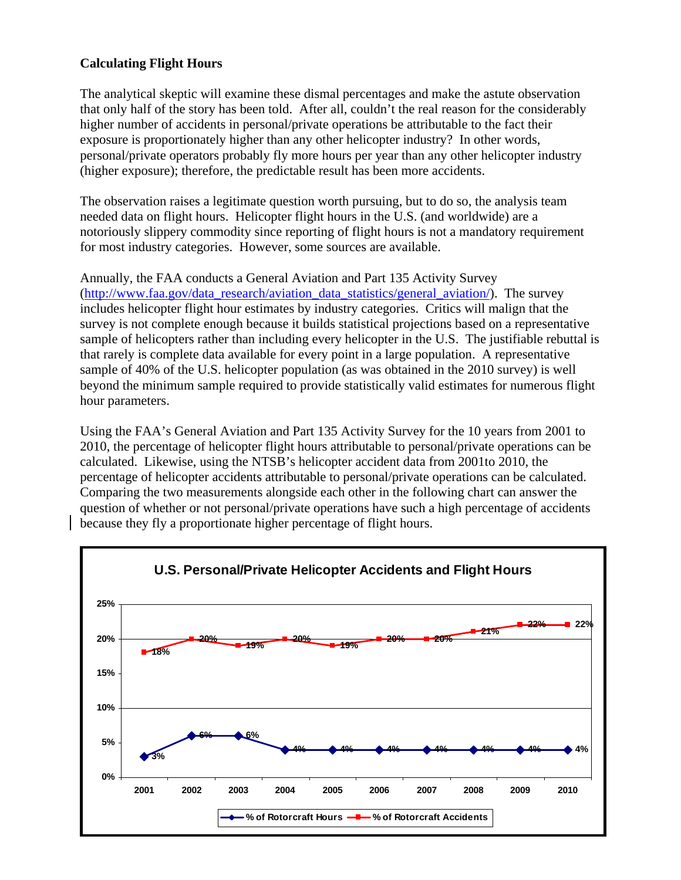#### **Calculating Flight Hours**

The analytical skeptic will examine these dismal percentages and make the astute observation that only half of the story has been told. After all, couldn't the real reason for the considerably higher number of accidents in personal/private operations be attributable to the fact their exposure is proportionately higher than any other helicopter industry? In other words, personal/private operators probably fly more hours per year than any other helicopter industry (higher exposure); therefore, the predictable result has been more accidents.

The observation raises a legitimate question worth pursuing, but to do so, the analysis team needed data on flight hours. Helicopter flight hours in the U.S. (and worldwide) are a notoriously slippery commodity since reporting of flight hours is not a mandatory requirement for most industry categories. However, some sources are available.

Annually, the FAA conducts a General Aviation and Part 135 Activity Survey (http://www.faa.gov/data\_research/aviation\_data\_statistics/general\_aviation/). The survey includes helicopter flight hour estimates by industry categories. Critics will malign that the survey is not complete enough because it builds statistical projections based on a representative sample of helicopters rather than including every helicopter in the U.S. The justifiable rebuttal is that rarely is complete data available for every point in a large population. A representative sample of 40% of the U.S. helicopter population (as was obtained in the 2010 survey) is well beyond the minimum sample required to provide statistically valid estimates for numerous flight hour parameters.

Using the FAA's General Aviation and Part 135 Activity Survey for the 10 years from 2001 to 2010, the percentage of helicopter flight hours attributable to personal/private operations can be calculated. Likewise, using the NTSB's helicopter accident data from 2001to 2010, the percentage of helicopter accidents attributable to personal/private operations can be calculated. Comparing the two measurements alongside each other in the following chart can answer the question of whether or not personal/private operations have such a high percentage of accidents because they fly a proportionate higher percentage of flight hours.

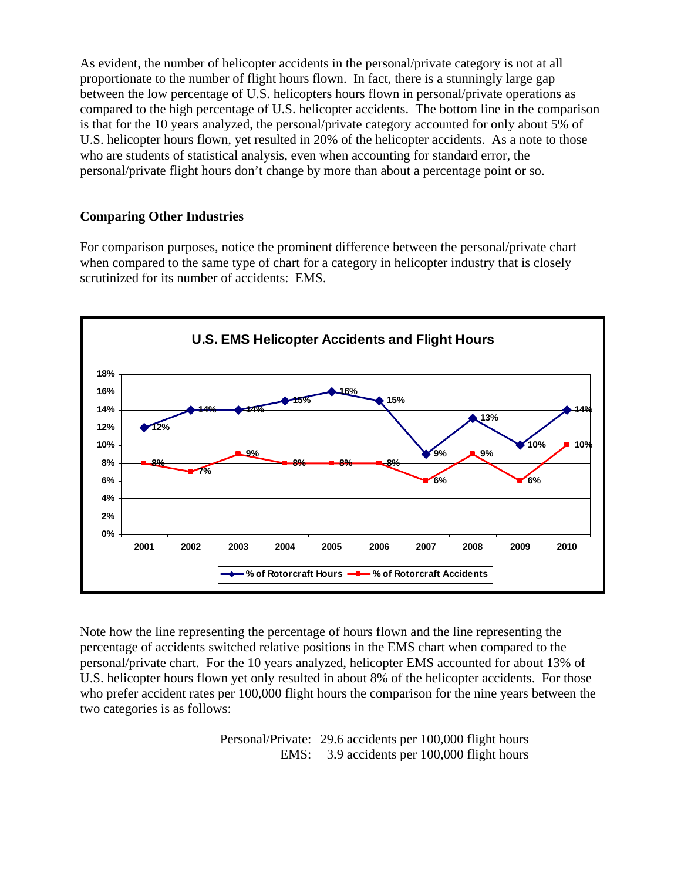As evident, the number of helicopter accidents in the personal/private category is not at all proportionate to the number of flight hours flown. In fact, there is a stunningly large gap between the low percentage of U.S. helicopters hours flown in personal/private operations as compared to the high percentage of U.S. helicopter accidents. The bottom line in the comparison is that for the 10 years analyzed, the personal/private category accounted for only about 5% of U.S. helicopter hours flown, yet resulted in 20% of the helicopter accidents. As a note to those who are students of statistical analysis, even when accounting for standard error, the personal/private flight hours don't change by more than about a percentage point or so.

## **Comparing Other Industries**

For comparison purposes, notice the prominent difference between the personal/private chart when compared to the same type of chart for a category in helicopter industry that is closely scrutinized for its number of accidents: EMS.



Note how the line representing the percentage of hours flown and the line representing the percentage of accidents switched relative positions in the EMS chart when compared to the personal/private chart. For the 10 years analyzed, helicopter EMS accounted for about 13% of U.S. helicopter hours flown yet only resulted in about 8% of the helicopter accidents. For those who prefer accident rates per 100,000 flight hours the comparison for the nine years between the two categories is as follows:

> Personal/Private: 29.6 accidents per 100,000 flight hours EMS: 3.9 accidents per 100,000 flight hours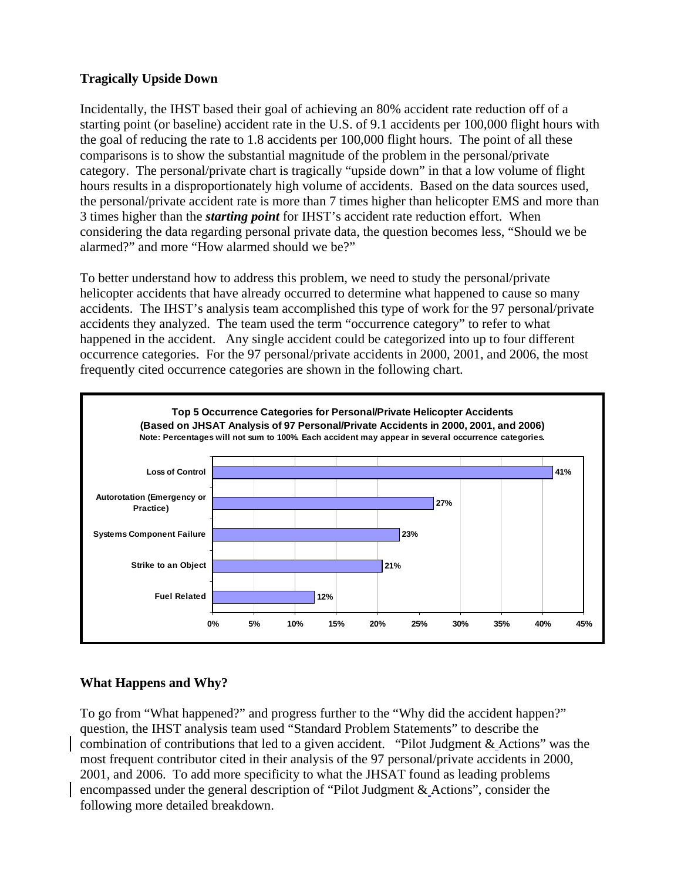## **Tragically Upside Down**

Incidentally, the IHST based their goal of achieving an 80% accident rate reduction off of a starting point (or baseline) accident rate in the U.S. of 9.1 accidents per 100,000 flight hours with the goal of reducing the rate to 1.8 accidents per 100,000 flight hours. The point of all these comparisons is to show the substantial magnitude of the problem in the personal/private category. The personal/private chart is tragically "upside down" in that a low volume of flight hours results in a disproportionately high volume of accidents. Based on the data sources used, the personal/private accident rate is more than 7 times higher than helicopter EMS and more than 3 times higher than the *starting point* for IHST's accident rate reduction effort. When considering the data regarding personal private data, the question becomes less, "Should we be alarmed?" and more "How alarmed should we be?"

To better understand how to address this problem, we need to study the personal/private helicopter accidents that have already occurred to determine what happened to cause so many accidents. The IHST's analysis team accomplished this type of work for the 97 personal/private accidents they analyzed. The team used the term "occurrence category" to refer to what happened in the accident. Any single accident could be categorized into up to four different occurrence categories. For the 97 personal/private accidents in 2000, 2001, and 2006, the most frequently cited occurrence categories are shown in the following chart.



# **What Happens and Why?**

To go from "What happened?" and progress further to the "Why did the accident happen?" question, the IHST analysis team used "Standard Problem Statements" to describe the combination of contributions that led to a given accident. "Pilot Judgment & Actions" was the most frequent contributor cited in their analysis of the 97 personal/private accidents in 2000, 2001, and 2006. To add more specificity to what the JHSAT found as leading problems encompassed under the general description of "Pilot Judgment & Actions", consider the following more detailed breakdown.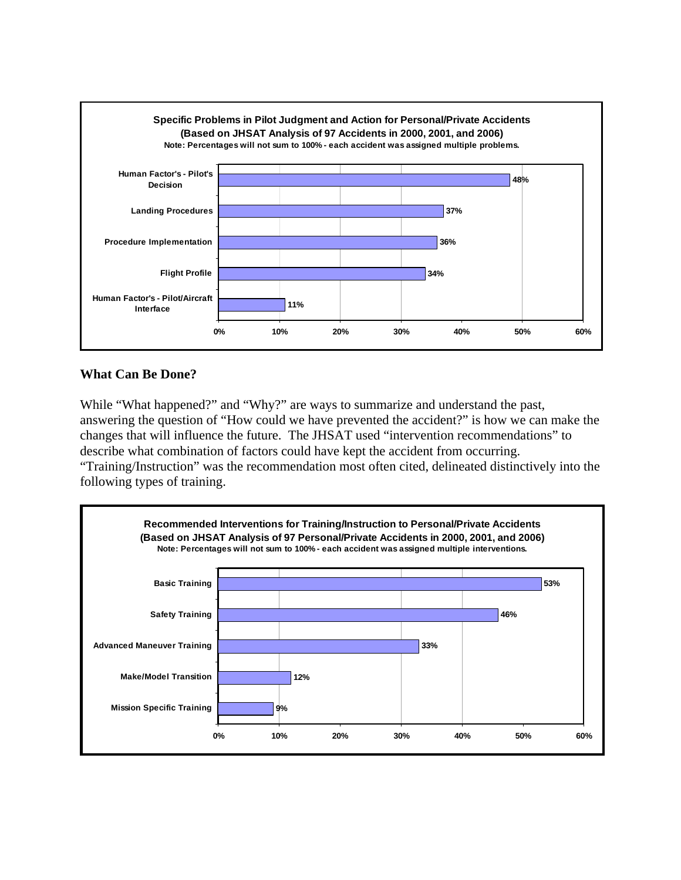

#### **What Can Be Done?**

While "What happened?" and "Why?" are ways to summarize and understand the past, answering the question of "How could we have prevented the accident?" is how we can make the changes that will influence the future. The JHSAT used "intervention recommendations" to describe what combination of factors could have kept the accident from occurring. "Training/Instruction" was the recommendation most often cited, delineated distinctively into the

following types of training.